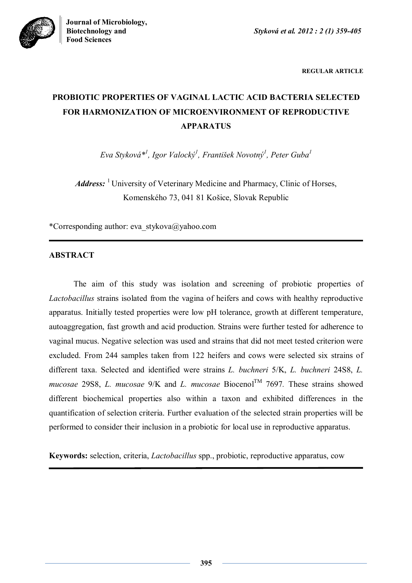

**REGULAR ARTICLE**

# **PROBIOTIC PROPERTIES OF VAGINAL LACTIC ACID BACTERIA SELECTED FOR HARMONIZATION OF MICROENVIRONMENT OF REPRODUCTIVE APPARATUS**

*Eva Styková\* 1 , Igor Valocký<sup>1</sup> , František Novotný<sup>1</sup> , Peter Guba<sup>1</sup>*

*Address:* <sup>1</sup> University of Veterinary Medicine and Pharmacy, Clinic of Horses, Komenského 73, 041 81 Košice, Slovak Republic

\*Corresponding author: eva\_stykova@yahoo.com

# **ABSTRACT**

The aim of this study was isolation and screening of probiotic properties of *Lactobacillus* strains isolated from the vagina of heifers and cows with healthy reproductive apparatus. Initially tested properties were low pH tolerance, growth at different temperature, autoaggregation, fast growth and acid production. Strains were further tested for adherence to vaginal mucus. Negative selection was used and strains that did not meet tested criterion were excluded. From 244 samples taken from 122 heifers and cows were selected six strains of different taxa. Selected and identified were strains *L. buchneri* 5/K, *L. buchneri* 24S8, *L. mucosae* 29S8, *L. mucosae* 9/K and *L. mucosae* Biocenol<sup>TM</sup> 7697. These strains showed different biochemical properties also within a taxon and exhibited differences in the quantification of selection criteria. Further evaluation of the selected strain properties will be performed to consider their inclusion in a probiotic for local use in reproductive apparatus.

**Keywords:** selection, criteria, *Lactobacillus* spp., probiotic, reproductive apparatus, cow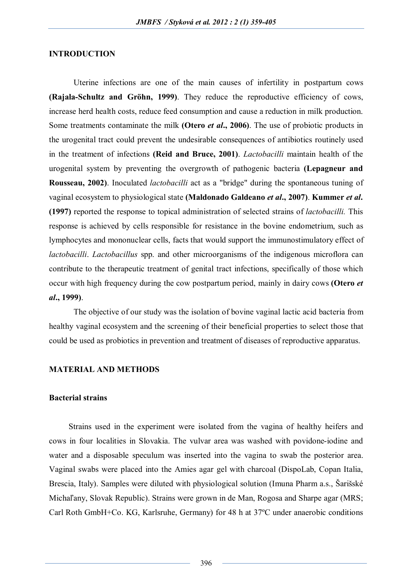# **INTRODUCTION**

Uterine infections are one of the main causes of infertility in postpartum cows **(Rajala-Schultz and Gröhn, 1999)**. They reduce the reproductive efficiency of cows, increase herd health costs, reduce feed consumption and cause a reduction in milk production. Some treatments contaminate the milk **(Otero** *et al***., 2006)**. The use of probiotic products in the urogenital tract could prevent the undesirable consequences of antibiotics routinely used in the treatment of infections **(Reid and Bruce, 2001)**. *Lactobacilli* maintain health of the urogenital system by preventing the overgrowth of pathogenic bacteria **(Lepagneur and Rousseau, 2002)**. Inoculated *lactobacilli* act as a "bridge" during the spontaneous tuning of vaginal ecosystem to physiological state **(Maldonado Galdeano** *et al***., 2007)**. **Kummer** *et al***. (1997)** reported the response to topical administration of selected strains of *lactobacilli.* This response is achieved by cells responsible for resistance in the bovine endometrium, such as lymphocytes and mononuclear cells, facts that would support the immunostimulatory effect of *lactobacilli. Lactobacillus* spp. and other microorganisms of the indigenous microflora can contribute to the therapeutic treatment of genital tract infections, specifically of those which occur with high frequency during the cow postpartum period, mainly in dairy cows **(Otero** *et al***., 1999)**.

The objective of our study was the isolation of bovine vaginal lactic acid bacteria from healthy vaginal ecosystem and the screening of their beneficial properties to select those that could be used as probiotics in prevention and treatment of diseases of reproductive apparatus.

#### **MATERIAL AND METHODS**

## **Bacterial strains**

Strains used in the experiment were isolated from the vagina of healthy heifers and cows in four localities in Slovakia. The vulvar area was washed with povidone-iodine and water and a disposable speculum was inserted into the vagina to swab the posterior area. Vaginal swabs were placed into the Amies agar gel with charcoal (DispoLab, Copan Italia, Brescia, Italy). Samples were diluted with physiological solution (Imuna Pharm a.s., Šarišské Michaľany, Slovak Republic). Strains were grown in de Man, Rogosa and Sharpe agar (MRS; Carl Roth GmbH+Co. KG, Karlsruhe, Germany) for 48 h at 37ºC under anaerobic conditions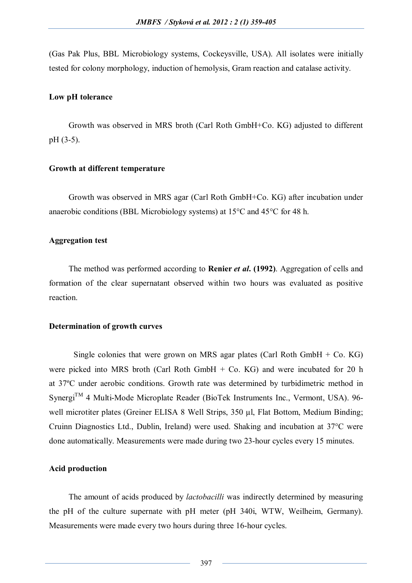(Gas Pak Plus, BBL Microbiology systems, Cockeysville, USA). All isolates were initially tested for colony morphology, induction of hemolysis, Gram reaction and catalase activity.

#### **Low pH tolerance**

Growth was observed in MRS broth (Carl Roth GmbH+Co. KG) adjusted to different pH (3-5).

#### **Growth at different temperature**

Growth was observed in MRS agar (Carl Roth GmbH+Co. KG) after incubation under anaerobic conditions (BBL Microbiology systems) at  $15^{\circ}$ C and  $45^{\circ}$ C for 48 h.

#### **Aggregation test**

The method was performed according to **Renier** *et al***. (1992)**. Aggregation of cells and formation of the clear supernatant observed within two hours was evaluated as positive reaction.

#### **Determination of growth curves**

Single colonies that were grown on MRS agar plates (Carl Roth GmbH  $+$  Co. KG) were picked into MRS broth (Carl Roth GmbH + Co. KG) and were incubated for 20 h at 37ºC under aerobic conditions. Growth rate was determined by turbidimetric method in  $Synergi<sup>TM</sup>$  4 Multi-Mode Microplate Reader (BioTek Instruments Inc., Vermont, USA). 96well microtiter plates (Greiner ELISA 8 Well Strips, 350 µl, Flat Bottom, Medium Binding; Cruinn Diagnostics Ltd., Dublin, Ireland) were used. Shaking and incubation at 37°C were done automatically. Measurements were made during two 23-hour cycles every 15 minutes.

# **Acid production**

The amount of acids produced by *lactobacilli* was indirectly determined by measuring the pH of the culture supernate with pH meter (pH 340i, WTW, Weilheim, Germany). Measurements were made every two hours during three 16-hour cycles.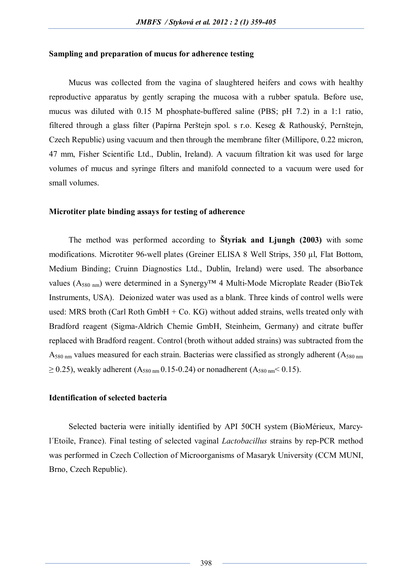#### **Sampling and preparation of mucus for adherence testing**

Mucus was collected from the vagina of slaughtered heifers and cows with healthy reproductive apparatus by gently scraping the mucosa with a rubber spatula. Before use, mucus was diluted with 0.15 M phosphate-buffered saline (PBS; pH 7.2) in a 1:1 ratio, filtered through a glass filter (Papírna Perštejn spol. s r.o. Keseg & Rathouský, Pernštejn, Czech Republic) using vacuum and then through the membrane filter (Millipore, 0.22 micron, 47 mm, Fisher Scientific Ltd., Dublin, Ireland). A vacuum filtration kit was used for large volumes of mucus and syringe filters and manifold connected to a vacuum were used for small volumes.

#### **Microtiter plate binding assays for testing of adherence**

The method was performed according to **Štyriak and Ljungh (2003)** with some modifications. Microtiter 96-well plates (Greiner ELISA 8 Well Strips, 350 µl, Flat Bottom, Medium Binding; Cruinn Diagnostics Ltd., Dublin, Ireland) were used. The absorbance values (A580 nm) were determined in a Synergy™ 4 Multi-Mode Microplate Reader (BioTek Instruments, USA). Deionized water was used as a blank. Three kinds of control wells were used: MRS broth (Carl Roth GmbH + Co. KG) without added strains, wells treated only with Bradford reagent (Sigma-Aldrich Chemie GmbH, Steinheim, Germany) and citrate buffer replaced with Bradford reagent. Control (broth without added strains) was subtracted from the  $A_{580 \text{ nm}}$  values measured for each strain. Bacterias were classified as strongly adherent  $(A_{580 \text{ nm}})$  $\geq$  0.25), weakly adherent (A<sub>580 nm</sub> 0.15-0.24) or nonadherent (A<sub>580 nm</sub> < 0.15).

#### **Identification of selected bacteria**

Selected bacteria were initially identified by API 50CH system (BioMérieux, Marcyl´Etoile, France). Final testing of selected vaginal *Lactobacillus* strains by rep-PCR method was performed in Czech Collection of Microorganisms of Masaryk University (CCM MUNI, Brno, Czech Republic).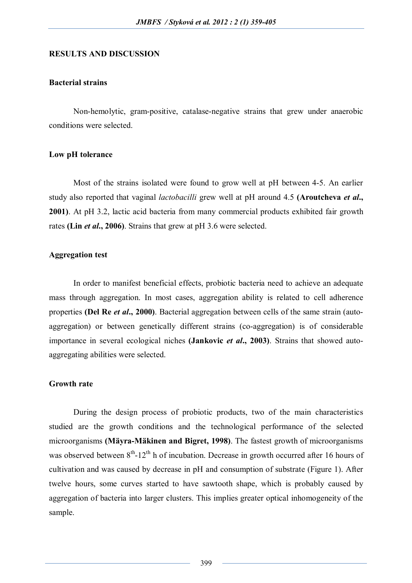#### **RESULTS AND DISCUSSION**

# **Bacterial strains**

Non-hemolytic, gram-positive, catalase-negative strains that grew under anaerobic conditions were selected.

#### **Low pH tolerance**

Most of the strains isolated were found to grow well at pH between 4-5. An earlier study also reported that vaginal *lactobacilli* grew well at pH around 4.5 **(Aroutcheva** *et al***., 2001)**. At pH 3.2, lactic acid bacteria from many commercial products exhibited fair growth rates **(Lin** *et al***., 2006)**. Strains that grew at pH 3.6 were selected.

#### **Aggregation test**

In order to manifest beneficial effects, probiotic bacteria need to achieve an adequate mass through aggregation. In most cases, aggregation ability is related to cell adherence properties **(Del Re** *et al***., 2000)**. Bacterial aggregation between cells of the same strain (autoaggregation) or between genetically different strains (co-aggregation) is of considerable importance in several ecological niches **(Jankovic** *et al***., 2003)**. Strains that showed autoaggregating abilities were selected.

# **Growth rate**

During the design process of probiotic products, two of the main characteristics studied are the growth conditions and the technological performance of the selected microorganisms **(Mäyra-Mäkinen and Bigret, 1998)**. The fastest growth of microorganisms was observed between  $8<sup>th</sup>$ -12<sup>th</sup> h of incubation. Decrease in growth occurred after 16 hours of cultivation and was caused by decrease in pH and consumption of substrate (Figure 1). After twelve hours, some curves started to have sawtooth shape, which is probably caused by aggregation of bacteria into larger clusters. This implies greater optical inhomogeneity of the sample.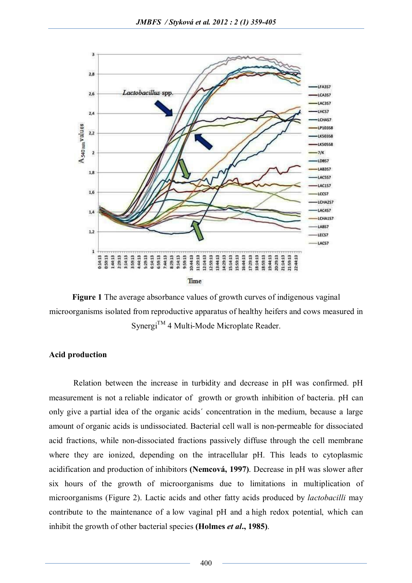

**Figure 1** The average absorbance values of growth curves of indigenous vaginal microorganisms isolated from reproductive apparatus of healthy heifers and cows measured in  $Svnergi<sup>TM</sup>$  4 Multi-Mode Microplate Reader.

#### **Acid production**

Relation between the increase in turbidity and decrease in pH was confirmed. pH measurement is not a reliable indicator of growth or growth inhibition of bacteria. pH can only give a partial idea of the organic acids´ concentration in the medium, because a large amount of organic acids is undissociated. Bacterial cell wall is non-permeable for dissociated acid fractions, while non-dissociated fractions passively diffuse through the cell membrane where they are ionized, depending on the intracellular pH. This leads to cytoplasmic acidification and production of inhibitors **(Nemcová, 1997)**. Decrease in pH was slower after six hours of the growth of microorganisms due to limitations in multiplication of microorganisms (Figure 2). Lactic acids and other fatty acids produced by *lactobacilli* may contribute to the maintenance of a low vaginal pH and a high redox potential, which can inhibit the growth of other bacterial species **(Holmes** *et al***., 1985)**.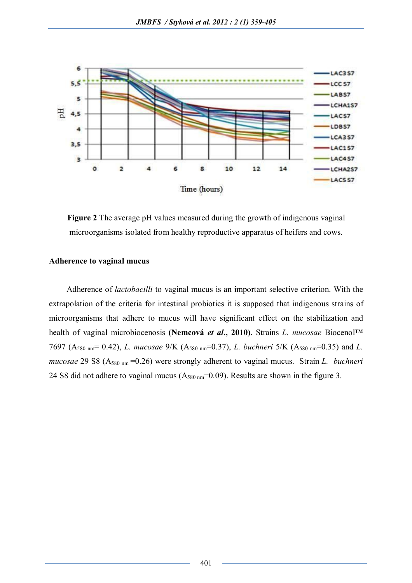

**Figure 2** The average pH values measured during the growth of indigenous vaginal microorganisms isolated from healthy reproductive apparatus of heifers and cows.

# **Adherence to vaginal mucus**

Adherence of *lactobacilli* to vaginal mucus is an important selective criterion. With the extrapolation of the criteria for intestinal probiotics it is supposed that indigenous strains of microorganisms that adhere to mucus will have significant effect on the stabilization and health of vaginal microbiocenosis **(Nemcová** *et al***., 2010)**. Strains *L. mucosae* Biocenol™ 7697 (A580 nm= 0.42), *L. mucosae* 9/K (A580 nm=0.37), *L. buchneri* 5/K (A580 nm=0.35) and *L. mucosae* 29 S8 (A<sub>580 nm</sub> = 0.26) were strongly adherent to vaginal mucus. Strain *L. buchneri* 24 S8 did not adhere to vaginal mucus  $(A_{580 \text{ nm}}=0.09)$ . Results are shown in the figure 3.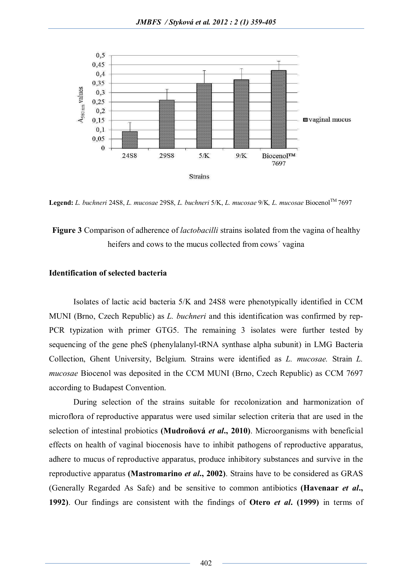

**Legend:** *L. buchneri* 24S8, *L. mucosae* 29S8, *L. buchneri* 5/K, *L. mucosae* 9/K*, L. mucosae* BiocenolTM 7697

**Figure 3** Comparison of adherence of *lactobacilli* strains isolated from the vagina of healthy heifers and cows to the mucus collected from cows´ vagina

# **Identification of selected bacteria**

Isolates of lactic acid bacteria 5/K and 24S8 were phenotypically identified in CCM MUNI (Brno, Czech Republic) as *L. buchneri* and this identification was confirmed by rep-PCR typization with primer GTG5. The remaining 3 isolates were further tested by sequencing of the gene pheS (phenylalanyl-tRNA synthase alpha subunit) in LMG Bacteria Collection, Ghent University, Belgium. Strains were identified as *L. mucosae.* Strain *L. mucosae* Biocenol was deposited in the CCM MUNI (Brno, Czech Republic) as CCM 7697 according to Budapest Convention.

During selection of the strains suitable for recolonization and harmonization of microflora of reproductive apparatus were used similar selection criteria that are used in the selection of intestinal probiotics **(Mudroňová** *et al***., 2010)**. Microorganisms with beneficial effects on health of vaginal biocenosis have to inhibit pathogens of reproductive apparatus, adhere to mucus of reproductive apparatus, produce inhibitory substances and survive in the reproductive apparatus **(Mastromarino** *et al***., 2002)**. Strains have to be considered as GRAS (Generally Regarded As Safe) and be sensitive to common antibiotics **(Havenaar** *et al***., 1992)**. Our findings are consistent with the findings of **Otero** *et al***. (1999)** in terms of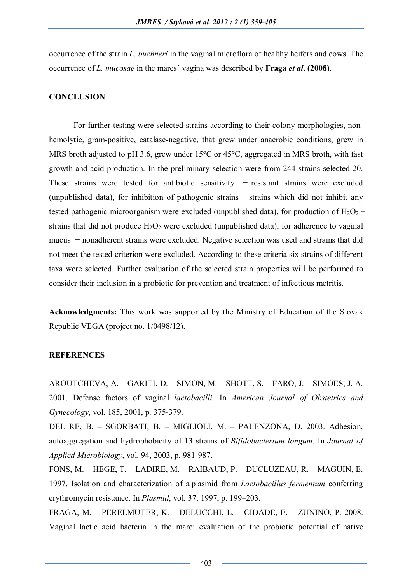occurrence of the strain *L. buchneri* in the vaginal microflora of healthy heifers and cows. The occurrence of *L. mucosae* in the mares´ vagina was described by **Fraga** *et al***. (2008)**.

#### **CONCLUSION**

For further testing were selected strains according to their colony morphologies, nonhemolytic, gram-positive, catalase-negative, that grew under anaerobic conditions, grew in MRS broth adjusted to pH 3.6, grew under 15<sup>o</sup>C or 45<sup>o</sup>C, aggregated in MRS broth, with fast growth and acid production. In the preliminary selection were from 244 strains selected 20. These strains were tested for antibiotic sensitivity  $-$  resistant strains were excluded (unpublished data), for inhibition of pathogenic strains  $-\pi$  -strains which did not inhibit any tested pathogenic microorganism were excluded (unpublished data), for production of  $H_2O_2$  – strains that did not produce  $H_2O_2$  were excluded (unpublished data), for adherence to vaginal mucus ̶ nonadherent strains were excluded. Negative selection was used and strains that did not meet the tested criterion were excluded. According to these criteria six strains of different taxa were selected. Further evaluation of the selected strain properties will be performed to consider their inclusion in a probiotic for prevention and treatment of infectious metritis.

**Acknowledgments:** This work was supported by the Ministry of Education of the Slovak Republic VEGA (project no. 1/0498/12).

#### **REFERENCES**

AROUTCHEVA, A. – GARITI, D. – SIMON, M. – SHOTT, S. – FARO, J. – SIMOES, J. A. 2001. Defense factors of vaginal *lactobacilli*. In *American Journal of Obstetrics and Gynecology*, vol. 185, 2001, p. 375-379.

DEL RE, B. – SGORBATI, B. – MIGLIOLI, M. – PALENZONA, D. 2003. Adhesion, autoaggregation and hydrophobicity of 13 strains of *Bifidobacterium longum*. In *Journal of Applied Microbiology*, vol. 94, 2003, p. 981-987.

FONS, M. – HEGE, T. – LADIRE, M. – RAIBAUD, P. – DUCLUZEAU, R. – MAGUIN, E. 1997. Isolation and characterization of a plasmid from *Lactobacillus fermentum* conferring erythromycin resistance. In *Plasmid*, vol. 37, 1997, p. 199–203.

FRAGA, M. – PERELMUTER, K. – DELUCCHI, L. – CIDADE, E. – ZUNINO, P. 2008. Vaginal lactic acid bacteria in the mare: evaluation of the probiotic potential of native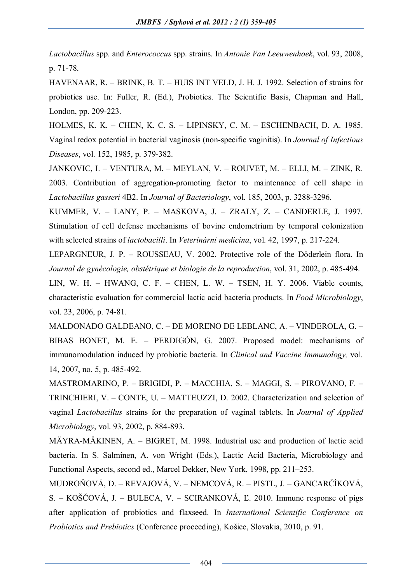*Lactobacillus* spp. and *Enterococcus* spp. strains. In *Antonie Van Leeuwenhoek*, vol. 93, 2008, p. 71-78.

HAVENAAR, R. – BRINK, B. T. – HUIS INT VELD, J. H. J. 1992. Selection of strains for probiotics use. In: Fuller, R. (Ed.), Probiotics. The Scientific Basis, Chapman and Hall, London, pp. 209-223.

HOLMES, K. K. – CHEN, K. C. S. – LIPINSKY, C. M. – ESCHENBACH, D. A. 1985. Vaginal redox potential in bacterial vaginosis (non-specific vaginitis). In *Journal of Infectious Diseases*, vol. 152, 1985, p. 379-382.

JANKOVIC, I. – VENTURA, M. – MEYLAN, V. – ROUVET, M. – ELLI, M. – ZINK, R. 2003. Contribution of aggregation-promoting factor to maintenance of cell shape in *Lactobacillus gasseri* 4B2. In *Journal of Bacteriology*, vol. 185, 2003, p. 3288-3296.

KUMMER, V. – LANY, P. – MASKOVA, J. – ZRALY, Z. – CANDERLE, J. 1997. Stimulation of cell defense mechanisms of bovine endometrium by temporal colonization with selected strains of *lactobacilli*. In *Veterinární medicína*, vol. 42, 1997, p. 217-224.

LEPARGNEUR, J. P. – ROUSSEAU, V. 2002. Protective role of the Döderlein flora. In *Journal de gynécologie, obstétrique et biologie de la reproduction*, vol. 31, 2002, p. 485-494.

LIN, W. H. – HWANG, C. F. – CHEN, L. W. – TSEN, H. Y. 2006. Viable counts, characteristic evaluation for commercial lactic acid bacteria products. In *Food Microbiology*, vol. 23, 2006, p. 74-81.

MALDONADO GALDEANO, C. – DE MORENO DE LEBLANC, A. – VINDEROLA, G. – BIBAS BONET, M. E. – PERDIGÓN, G. 2007. Proposed model: mechanisms of immunomodulation induced by probiotic bacteria. In *Clinical and Vaccine Immunology,* vol. 14, 2007, no. 5, p. 485-492.

MASTROMARINO, P. – BRIGIDI, P. – MACCHIA, S. – MAGGI, S. – PIROVANO, F. – TRINCHIERI, V. – CONTE, U. – MATTEUZZI, D. 2002. Characterization and selection of vaginal *Lactobacillus* strains for the preparation of vaginal tablets. In *Journal of Applied Microbiology*, vol. 93, 2002, p. 884-893.

MÄYRA-MÄKINEN, A. – BIGRET, M. 1998. Industrial use and production of lactic acid bacteria. In S. Salminen, A. von Wright (Eds.), Lactic Acid Bacteria, Microbiology and Functional Aspects, second ed., Marcel Dekker, New York, 1998, pp. 211–253.

MUDROŇOVÁ, D. – REVAJOVÁ, V. – NEMCOVÁ, R. – PISTL, J. – GANCARČÍKOVÁ, S. – KOŠČOVÁ, J. – BULECA, V. – SCIRANKOVÁ, Ľ. 2010. Immune response of pigs after application of probiotics and flaxseed. In *International Scientific Conference on Probiotics and Prebiotics* (Conference proceeding), Košice, Slovakia, 2010, p. 91.